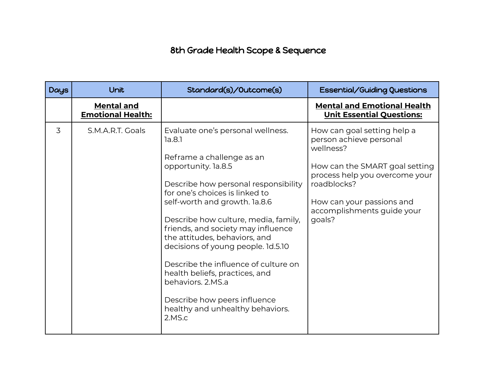## 8th Grade Health Scope & Sequence

| <b>Days</b> | Unit                                          | Standard(s)/Outcome(s)                                                                                                                                                                                                                                                                                                                                                                                                                                                                                                                       | <b>Essential/Guiding Questions</b>                                                                                                                                                                                          |
|-------------|-----------------------------------------------|----------------------------------------------------------------------------------------------------------------------------------------------------------------------------------------------------------------------------------------------------------------------------------------------------------------------------------------------------------------------------------------------------------------------------------------------------------------------------------------------------------------------------------------------|-----------------------------------------------------------------------------------------------------------------------------------------------------------------------------------------------------------------------------|
|             | <b>Mental and</b><br><b>Emotional Health:</b> |                                                                                                                                                                                                                                                                                                                                                                                                                                                                                                                                              | <b>Mental and Emotional Health</b><br><b>Unit Essential Questions:</b>                                                                                                                                                      |
| 3           | S.M.A.R.T. Goals                              | Evaluate one's personal wellness.<br>1a.8.1<br>Reframe a challenge as an<br>opportunity. la.8.5<br>Describe how personal responsibility<br>for one's choices is linked to<br>self-worth and growth. la.8.6<br>Describe how culture, media, family,<br>friends, and society may influence<br>the attitudes, behaviors, and<br>decisions of young people. 1d.5.10<br>Describe the influence of culture on<br>health beliefs, practices, and<br>behaviors, 2.MS.a<br>Describe how peers influence<br>healthy and unhealthy behaviors.<br>2.MS.c | How can goal setting help a<br>person achieve personal<br>wellness?<br>How can the SMART goal setting<br>process help you overcome your<br>roadblocks?<br>How can your passions and<br>accomplishments guide your<br>goals? |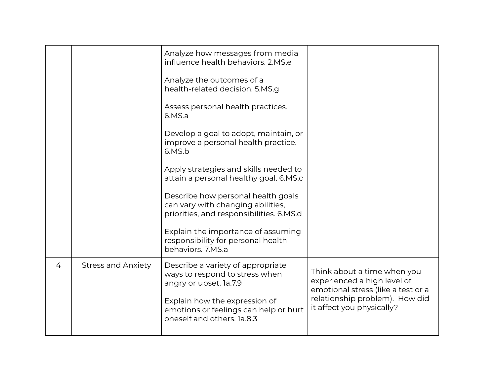|   |                           | Analyze how messages from media<br>influence health behaviors, 2.MS.e<br>Analyze the outcomes of a<br>health-related decision. 5.MS.g<br>Assess personal health practices.<br>6.MS.a<br>Develop a goal to adopt, maintain, or<br>improve a personal health practice.<br>6.MS.b<br>Apply strategies and skills needed to<br>attain a personal healthy goal. 6.MS.c<br>Describe how personal health goals<br>can vary with changing abilities,<br>priorities, and responsibilities. 6.MS.d<br>Explain the importance of assuming<br>responsibility for personal health<br>behaviors. 7.MS.a |                                                                                                                                                                 |
|---|---------------------------|-------------------------------------------------------------------------------------------------------------------------------------------------------------------------------------------------------------------------------------------------------------------------------------------------------------------------------------------------------------------------------------------------------------------------------------------------------------------------------------------------------------------------------------------------------------------------------------------|-----------------------------------------------------------------------------------------------------------------------------------------------------------------|
| 4 | <b>Stress and Anxiety</b> | Describe a variety of appropriate<br>ways to respond to stress when<br>angry or upset. la.7.9<br>Explain how the expression of<br>emotions or feelings can help or hurt<br>oneself and others. 1a.8.3                                                                                                                                                                                                                                                                                                                                                                                     | Think about a time when you<br>experienced a high level of<br>emotional stress (like a test or a<br>relationship problem). How did<br>it affect you physically? |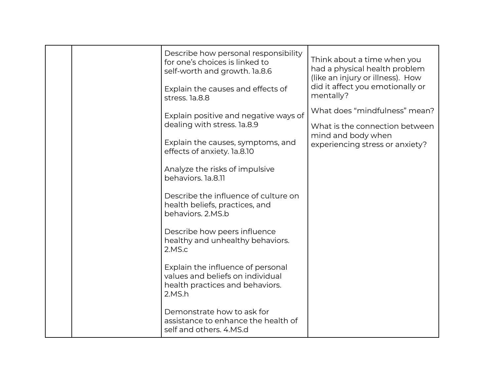|  | Describe how personal responsibility<br>for one's choices is linked to<br>self-worth and growth. la.8.6<br>Explain the causes and effects of | Think about a time when you<br>had a physical health problem<br>(like an injury or illness). How<br>did it affect you emotionally or |
|--|----------------------------------------------------------------------------------------------------------------------------------------------|--------------------------------------------------------------------------------------------------------------------------------------|
|  | stress. la.8.8                                                                                                                               | mentally?                                                                                                                            |
|  | Explain positive and negative ways of                                                                                                        | What does "mindfulness" mean?                                                                                                        |
|  | dealing with stress. la.8.9                                                                                                                  | What is the connection between<br>mind and body when                                                                                 |
|  | Explain the causes, symptoms, and<br>effects of anxiety. la.8.10                                                                             | experiencing stress or anxiety?                                                                                                      |
|  | Analyze the risks of impulsive<br>behaviors. la.8.11                                                                                         |                                                                                                                                      |
|  | Describe the influence of culture on<br>health beliefs, practices, and<br>behaviors. 2.MS.b                                                  |                                                                                                                                      |
|  | Describe how peers influence<br>healthy and unhealthy behaviors.<br>2.MS.c                                                                   |                                                                                                                                      |
|  | Explain the influence of personal<br>values and beliefs on individual<br>health practices and behaviors.<br>2.MS.h                           |                                                                                                                                      |
|  | Demonstrate how to ask for<br>assistance to enhance the health of<br>self and others. 4.MS.d                                                 |                                                                                                                                      |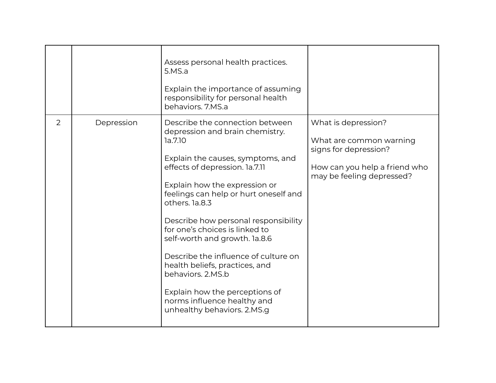|   |            | Assess personal health practices.<br>5.MS.a<br>Explain the importance of assuming<br>responsibility for personal health<br>behaviors, 7.MS.a                                                                                                                                                                                                                                                                                                                                                                                                               |                                                                                                                                       |
|---|------------|------------------------------------------------------------------------------------------------------------------------------------------------------------------------------------------------------------------------------------------------------------------------------------------------------------------------------------------------------------------------------------------------------------------------------------------------------------------------------------------------------------------------------------------------------------|---------------------------------------------------------------------------------------------------------------------------------------|
| 2 | Depression | Describe the connection between<br>depression and brain chemistry.<br>la.7.10<br>Explain the causes, symptoms, and<br>effects of depression. la.7.11<br>Explain how the expression or<br>feelings can help or hurt oneself and<br>others, 1a.8.3<br>Describe how personal responsibility<br>for one's choices is linked to<br>self-worth and growth. la.8.6<br>Describe the influence of culture on<br>health beliefs, practices, and<br>behaviors, 2.MS.b<br>Explain how the perceptions of<br>norms influence healthy and<br>unhealthy behaviors. 2.MS.g | What is depression?<br>What are common warning<br>signs for depression?<br>How can you help a friend who<br>may be feeling depressed? |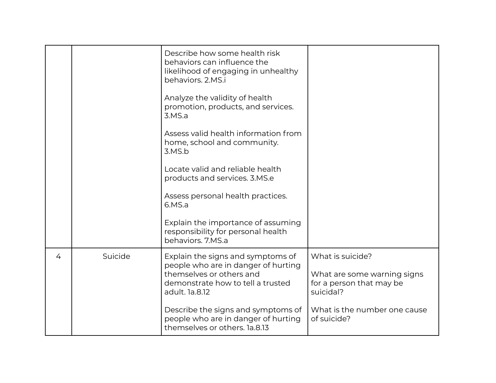|   |         | Describe how some health risk<br>behaviors can influence the<br>likelihood of engaging in unhealthy<br>behaviors, 2.MS.i<br>Analyze the validity of health<br>promotion, products, and services.<br>3.MS.a<br>Assess valid health information from<br>home, school and community.<br>3.MS.b<br>Locate valid and reliable health<br>products and services. 3.MS.e<br>Assess personal health practices.<br>6.MS.a<br>Explain the importance of assuming<br>responsibility for personal health<br>behaviors. 7.MS.a |                                                                                                                                         |
|---|---------|------------------------------------------------------------------------------------------------------------------------------------------------------------------------------------------------------------------------------------------------------------------------------------------------------------------------------------------------------------------------------------------------------------------------------------------------------------------------------------------------------------------|-----------------------------------------------------------------------------------------------------------------------------------------|
| 4 | Suicide | Explain the signs and symptoms of<br>people who are in danger of hurting<br>themselves or others and<br>demonstrate how to tell a trusted<br>adult. 1a.8.12<br>Describe the signs and symptoms of<br>people who are in danger of hurting<br>themselves or others. la.8.13                                                                                                                                                                                                                                        | What is suicide?<br>What are some warning signs<br>for a person that may be<br>suicidal?<br>What is the number one cause<br>of suicide? |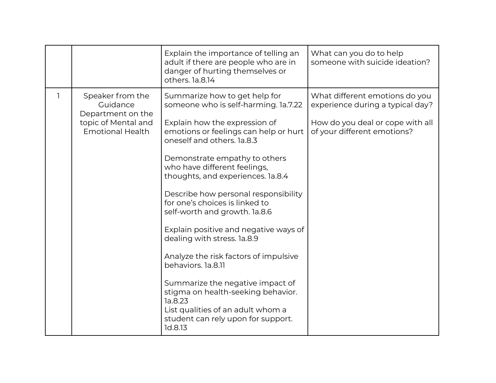|              |                                                                                                     | Explain the importance of telling an<br>adult if there are people who are in<br>danger of hurting themselves or<br>others. la.8.14                                                                                                                                                                                                                                                                                                                                                                                                                                                                                                                                                                               | What can you do to help<br>someone with suicide ideation?                                                                             |
|--------------|-----------------------------------------------------------------------------------------------------|------------------------------------------------------------------------------------------------------------------------------------------------------------------------------------------------------------------------------------------------------------------------------------------------------------------------------------------------------------------------------------------------------------------------------------------------------------------------------------------------------------------------------------------------------------------------------------------------------------------------------------------------------------------------------------------------------------------|---------------------------------------------------------------------------------------------------------------------------------------|
| $\mathbf{I}$ | Speaker from the<br>Guidance<br>Department on the<br>topic of Mental and<br><b>Emotional Health</b> | Summarize how to get help for<br>someone who is self-harming. 1a.7.22<br>Explain how the expression of<br>emotions or feelings can help or hurt<br>oneself and others. 1a.8.3<br>Demonstrate empathy to others<br>who have different feelings,<br>thoughts, and experiences. la.8.4<br>Describe how personal responsibility<br>for one's choices is linked to<br>self-worth and growth. la.8.6<br>Explain positive and negative ways of<br>dealing with stress. la.8.9<br>Analyze the risk factors of impulsive<br>behaviors. la.8.11<br>Summarize the negative impact of<br>stigma on health-seeking behavior.<br>la.8.23<br>List qualities of an adult whom a<br>student can rely upon for support.<br>1d.8.13 | What different emotions do you<br>experience during a typical day?<br>How do you deal or cope with all<br>of your different emotions? |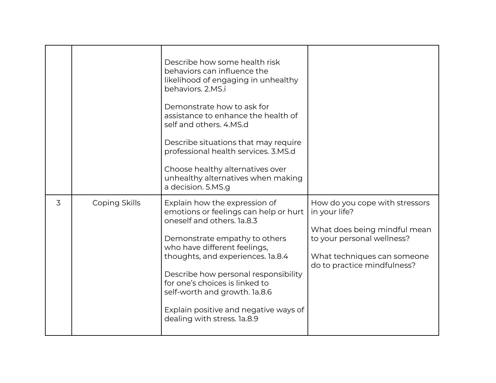|   |               | Describe how some health risk<br>behaviors can influence the<br>likelihood of engaging in unhealthy<br>behaviors. 2.MS.i<br>Demonstrate how to ask for<br>assistance to enhance the health of<br>self and others, 4.MS.d<br>Describe situations that may require<br>professional health services. 3.MS.d<br>Choose healthy alternatives over<br>unhealthy alternatives when making<br>a decision. 5.MS.g |                                                                                                                                                                             |
|---|---------------|----------------------------------------------------------------------------------------------------------------------------------------------------------------------------------------------------------------------------------------------------------------------------------------------------------------------------------------------------------------------------------------------------------|-----------------------------------------------------------------------------------------------------------------------------------------------------------------------------|
| 3 | Coping Skills | Explain how the expression of<br>emotions or feelings can help or hurt<br>oneself and others. 1a.8.3<br>Demonstrate empathy to others<br>who have different feelings,<br>thoughts, and experiences. la.8.4<br>Describe how personal responsibility<br>for one's choices is linked to<br>self-worth and growth. la.8.6<br>Explain positive and negative ways of<br>dealing with stress. 1a.8.9            | How do you cope with stressors<br>in your life?<br>What does being mindful mean<br>to your personal wellness?<br>What techniques can someone<br>do to practice mindfulness? |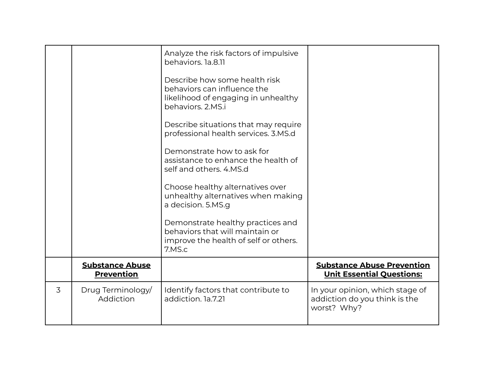|   |                                             | Analyze the risk factors of impulsive<br>behaviors. 1a.8.11<br>Describe how some health risk<br>behaviors can influence the<br>likelihood of engaging in unhealthy<br>behaviors. 2.MS.i<br>Describe situations that may require<br>professional health services. 3.MS.d<br>Demonstrate how to ask for<br>assistance to enhance the health of<br>self and others, 4.MS.d<br>Choose healthy alternatives over<br>unhealthy alternatives when making<br>a decision. 5.MS.g<br>Demonstrate healthy practices and<br>behaviors that will maintain or<br>improve the health of self or others.<br>7.MS.c |                                                                                 |
|---|---------------------------------------------|----------------------------------------------------------------------------------------------------------------------------------------------------------------------------------------------------------------------------------------------------------------------------------------------------------------------------------------------------------------------------------------------------------------------------------------------------------------------------------------------------------------------------------------------------------------------------------------------------|---------------------------------------------------------------------------------|
|   | <b>Substance Abuse</b><br><b>Prevention</b> |                                                                                                                                                                                                                                                                                                                                                                                                                                                                                                                                                                                                    | <b>Substance Abuse Prevention</b><br><b>Unit Essential Questions:</b>           |
| 3 | Drug Terminology<br>Addiction               | Identify factors that contribute to<br>addiction. 1a.7.21                                                                                                                                                                                                                                                                                                                                                                                                                                                                                                                                          | In your opinion, which stage of<br>addiction do you think is the<br>worst? Why? |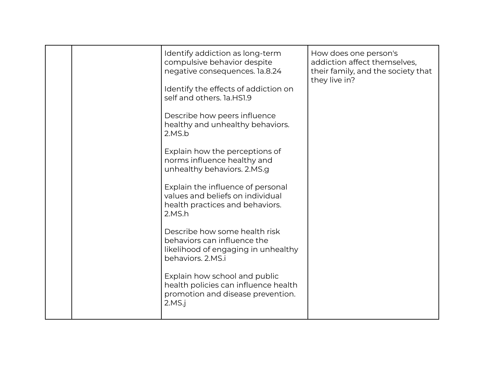|  | Identify addiction as long-term<br>compulsive behavior despite<br>negative consequences. la.8.24<br>Identify the effects of addiction on<br>self and others. 1a.HS1.9<br>Describe how peers influence<br>healthy and unhealthy behaviors.<br>2.MS.b<br>Explain how the perceptions of<br>norms influence healthy and<br>unhealthy behaviors. 2.MS.g<br>Explain the influence of personal<br>values and beliefs on individual<br>health practices and behaviors.<br>2.MS.h<br>Describe how some health risk<br>behaviors can influence the<br>likelihood of engaging in unhealthy<br>behaviors, 2.MS.i<br>Explain how school and public<br>health policies can influence health<br>promotion and disease prevention.<br>2.MS.i | How does one person's<br>addiction affect themselves,<br>their family, and the society that<br>they live in? |
|--|-------------------------------------------------------------------------------------------------------------------------------------------------------------------------------------------------------------------------------------------------------------------------------------------------------------------------------------------------------------------------------------------------------------------------------------------------------------------------------------------------------------------------------------------------------------------------------------------------------------------------------------------------------------------------------------------------------------------------------|--------------------------------------------------------------------------------------------------------------|
|--|-------------------------------------------------------------------------------------------------------------------------------------------------------------------------------------------------------------------------------------------------------------------------------------------------------------------------------------------------------------------------------------------------------------------------------------------------------------------------------------------------------------------------------------------------------------------------------------------------------------------------------------------------------------------------------------------------------------------------------|--------------------------------------------------------------------------------------------------------------|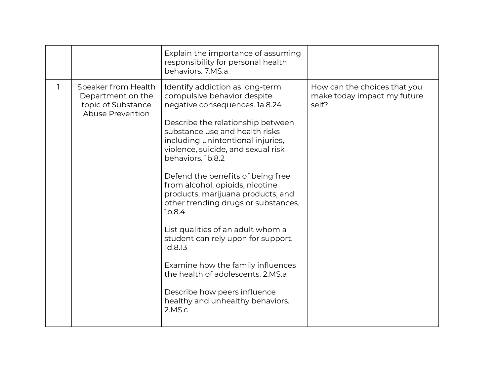|                                                                                    | Explain the importance of assuming<br>responsibility for personal health<br>behaviors. 7.MS.a                                                                                                                                                                                                                                                                                                                                                                                                                                                                                                                                                                                       |                                                                      |
|------------------------------------------------------------------------------------|-------------------------------------------------------------------------------------------------------------------------------------------------------------------------------------------------------------------------------------------------------------------------------------------------------------------------------------------------------------------------------------------------------------------------------------------------------------------------------------------------------------------------------------------------------------------------------------------------------------------------------------------------------------------------------------|----------------------------------------------------------------------|
| Speaker from Health<br>Department on the<br>topic of Substance<br>Abuse Prevention | Identify addiction as long-term<br>compulsive behavior despite<br>negative consequences. la.8.24<br>Describe the relationship between<br>substance use and health risks<br>including unintentional injuries,<br>violence, suicide, and sexual risk<br>behaviors. 1b.8.2<br>Defend the benefits of being free<br>from alcohol, opioids, nicotine<br>products, marijuana products, and<br>other trending drugs or substances.<br>1b.8.4<br>List qualities of an adult whom a<br>student can rely upon for support.<br>1d.8.13<br>Examine how the family influences<br>the health of adolescents, 2.MS.a<br>Describe how peers influence<br>healthy and unhealthy behaviors.<br>2.MS.c | How can the choices that you<br>make today impact my future<br>self? |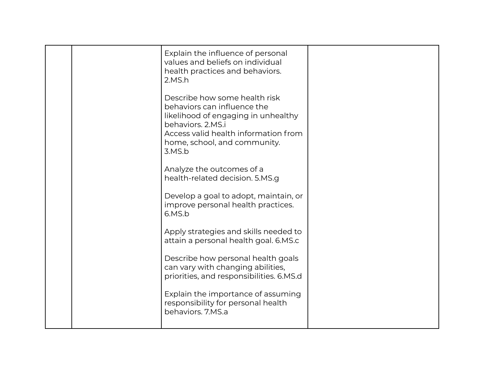|  | Explain the influence of personal<br>values and beliefs on individual<br>health practices and behaviors.<br>2.MS.h                                                                                         |  |
|--|------------------------------------------------------------------------------------------------------------------------------------------------------------------------------------------------------------|--|
|  | Describe how some health risk<br>behaviors can influence the<br>likelihood of engaging in unhealthy<br>behaviors, 2.MS.i<br>Access valid health information from<br>home, school, and community.<br>3.MS.b |  |
|  | Analyze the outcomes of a<br>health-related decision. 5.MS.g                                                                                                                                               |  |
|  | Develop a goal to adopt, maintain, or<br>improve personal health practices.<br>6.MS.b                                                                                                                      |  |
|  | Apply strategies and skills needed to<br>attain a personal health goal. 6.MS.c                                                                                                                             |  |
|  | Describe how personal health goals<br>can vary with changing abilities,<br>priorities, and responsibilities. 6.MS.d                                                                                        |  |
|  | Explain the importance of assuming<br>responsibility for personal health<br>behaviors, 7.MS.a                                                                                                              |  |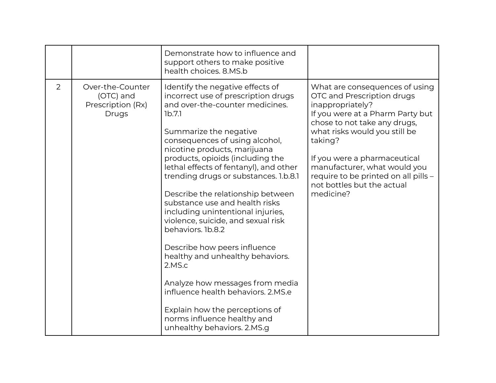|   |                                                             | Demonstrate how to influence and<br>support others to make positive<br>health choices. 8.MS.b                                                                                                                                                                                                                                                                                                                                                                                                                                                                                                                                                                                                                                                                         |                                                                                                                                                                                                                                                                                                                                                     |
|---|-------------------------------------------------------------|-----------------------------------------------------------------------------------------------------------------------------------------------------------------------------------------------------------------------------------------------------------------------------------------------------------------------------------------------------------------------------------------------------------------------------------------------------------------------------------------------------------------------------------------------------------------------------------------------------------------------------------------------------------------------------------------------------------------------------------------------------------------------|-----------------------------------------------------------------------------------------------------------------------------------------------------------------------------------------------------------------------------------------------------------------------------------------------------------------------------------------------------|
| 2 | Over-the-Counter<br>(OTC) and<br>Prescription (Rx)<br>Drugs | Identify the negative effects of<br>incorrect use of prescription drugs<br>and over-the-counter medicines.<br>1b.7.1<br>Summarize the negative<br>consequences of using alcohol,<br>nicotine products, marijuana<br>products, opioids (including the<br>lethal effects of fentanyl), and other<br>trending drugs or substances. 1.b.8.1<br>Describe the relationship between<br>substance use and health risks<br>including unintentional injuries,<br>violence, suicide, and sexual risk<br>behaviors. 1b.8.2<br>Describe how peers influence<br>healthy and unhealthy behaviors.<br>2.MS.c<br>Analyze how messages from media<br>influence health behaviors, 2.MS.e<br>Explain how the perceptions of<br>norms influence healthy and<br>unhealthy behaviors. 2.MS.g | What are consequences of using<br>OTC and Prescription drugs<br>inappropriately?<br>If you were at a Pharm Party but<br>chose to not take any drugs,<br>what risks would you still be<br>taking?<br>If you were a pharmaceutical<br>manufacturer, what would you<br>require to be printed on all pills -<br>not bottles but the actual<br>medicine? |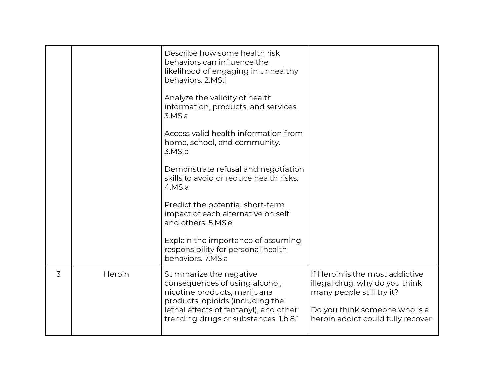|   |        | Describe how some health risk<br>behaviors can influence the<br>likelihood of engaging in unhealthy<br>behaviors. 2.MS.i<br>Analyze the validity of health<br>information, products, and services.<br>3.MS.a<br>Access valid health information from<br>home, school, and community.<br>3.MS.b<br>Demonstrate refusal and negotiation<br>skills to avoid or reduce health risks.<br>4.MS.a<br>Predict the potential short-term<br>impact of each alternative on self<br>and others, 5.MS.e<br>Explain the importance of assuming<br>responsibility for personal health<br>behaviors. 7.MS.a |                                                                                                                                                                      |
|---|--------|---------------------------------------------------------------------------------------------------------------------------------------------------------------------------------------------------------------------------------------------------------------------------------------------------------------------------------------------------------------------------------------------------------------------------------------------------------------------------------------------------------------------------------------------------------------------------------------------|----------------------------------------------------------------------------------------------------------------------------------------------------------------------|
| 3 | Heroin | Summarize the negative<br>consequences of using alcohol,<br>nicotine products, marijuana<br>products, opioids (including the<br>lethal effects of fentanyl), and other<br>trending drugs or substances. 1.b.8.1                                                                                                                                                                                                                                                                                                                                                                             | If Heroin is the most addictive<br>illegal drug, why do you think<br>many people still try it?<br>Do you think someone who is a<br>heroin addict could fully recover |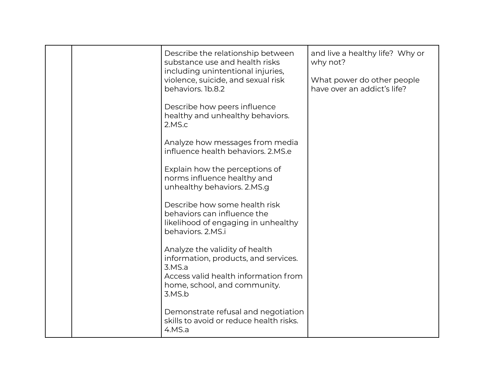|  | Describe the relationship between<br>substance use and health risks<br>including unintentional injuries,<br>violence, suicide, and sexual risk<br>behaviors. 1b.8.2 | and live a healthy life? Why or<br>why not?<br>What power do other people<br>have over an addict's life? |
|--|---------------------------------------------------------------------------------------------------------------------------------------------------------------------|----------------------------------------------------------------------------------------------------------|
|  | Describe how peers influence<br>healthy and unhealthy behaviors.<br>2.MS.c                                                                                          |                                                                                                          |
|  | Analyze how messages from media<br>influence health behaviors. 2.MS.e                                                                                               |                                                                                                          |
|  | Explain how the perceptions of<br>norms influence healthy and<br>unhealthy behaviors. 2.MS.g                                                                        |                                                                                                          |
|  | Describe how some health risk<br>behaviors can influence the<br>likelihood of engaging in unhealthy<br>behaviors. 2.MS.i                                            |                                                                                                          |
|  | Analyze the validity of health<br>information, products, and services.<br>3.MS.a<br>Access valid health information from<br>home, school, and community.<br>3.MS.b  |                                                                                                          |
|  | Demonstrate refusal and negotiation<br>skills to avoid or reduce health risks.<br>4.MS.a                                                                            |                                                                                                          |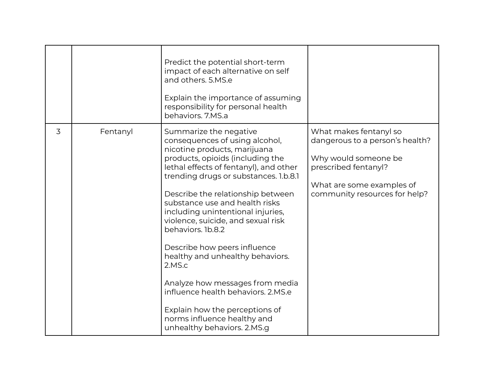|   |          | Predict the potential short-term<br>impact of each alternative on self<br>and others. 5.MS.e<br>Explain the importance of assuming<br>responsibility for personal health<br>behaviors, 7.MS.a                                                                                                                                                                                                                                                                                                                                                                                                                                                 |                                                                                                                                                                         |
|---|----------|-----------------------------------------------------------------------------------------------------------------------------------------------------------------------------------------------------------------------------------------------------------------------------------------------------------------------------------------------------------------------------------------------------------------------------------------------------------------------------------------------------------------------------------------------------------------------------------------------------------------------------------------------|-------------------------------------------------------------------------------------------------------------------------------------------------------------------------|
| 3 | Fentanyl | Summarize the negative<br>consequences of using alcohol,<br>nicotine products, marijuana<br>products, opioids (including the<br>lethal effects of fentanyl), and other<br>trending drugs or substances. 1.b.8.1<br>Describe the relationship between<br>substance use and health risks<br>including unintentional injuries,<br>violence, suicide, and sexual risk<br>behaviors. 1b.8.2<br>Describe how peers influence<br>healthy and unhealthy behaviors.<br>2.MS.c<br>Analyze how messages from media<br>influence health behaviors, 2.MS.e<br>Explain how the perceptions of<br>norms influence healthy and<br>unhealthy behaviors. 2.MS.g | What makes fentanyl so<br>dangerous to a person's health?<br>Why would someone be<br>prescribed fentanyl?<br>What are some examples of<br>community resources for help? |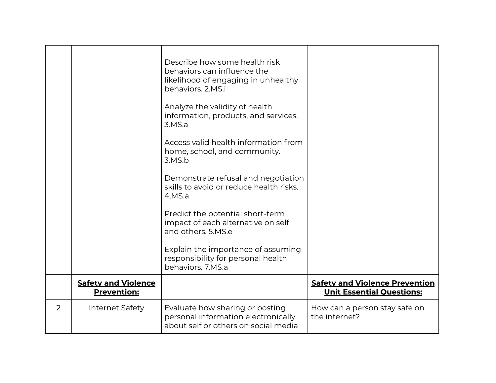|   |                                                  | Describe how some health risk<br>behaviors can influence the<br>likelihood of engaging in unhealthy<br>behaviors, 2.MS.i<br>Analyze the validity of health<br>information, products, and services.<br>3.MS.a<br>Access valid health information from<br>home, school, and community.<br>3.MS.b<br>Demonstrate refusal and negotiation<br>skills to avoid or reduce health risks.<br>4.MS.a<br>Predict the potential short-term<br>impact of each alternative on self<br>and others. 5.MS.e<br>Explain the importance of assuming<br>responsibility for personal health<br>behaviors. 7.MS.a |                                                                           |
|---|--------------------------------------------------|---------------------------------------------------------------------------------------------------------------------------------------------------------------------------------------------------------------------------------------------------------------------------------------------------------------------------------------------------------------------------------------------------------------------------------------------------------------------------------------------------------------------------------------------------------------------------------------------|---------------------------------------------------------------------------|
|   | <b>Safety and Violence</b><br><b>Prevention:</b> |                                                                                                                                                                                                                                                                                                                                                                                                                                                                                                                                                                                             | <b>Safety and Violence Prevention</b><br><b>Unit Essential Questions:</b> |
| 2 | Internet Safety                                  | Evaluate how sharing or posting<br>personal information electronically<br>about self or others on social media                                                                                                                                                                                                                                                                                                                                                                                                                                                                              | How can a person stay safe on<br>the internet?                            |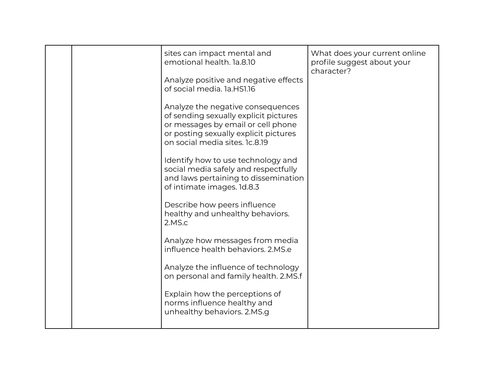|  | sites can impact mental and<br>emotional health. 1a.8.10<br>Analyze positive and negative effects<br>of social media. 1a.HS1.16<br>Analyze the negative consequences<br>of sending sexually explicit pictures<br>or messages by email or cell phone<br>or posting sexually explicit pictures<br>on social media sites. 1c.8.19<br>Identify how to use technology and<br>social media safely and respectfully<br>and laws pertaining to dissemination<br>of intimate images. 1d.8.3<br>Describe how peers influence<br>healthy and unhealthy behaviors.<br>2.MS.c<br>Analyze how messages from media<br>influence health behaviors, 2.MS.e<br>Analyze the influence of technology<br>on personal and family health. 2.MS.f | What does your current online<br>profile suggest about your<br>character? |
|--|---------------------------------------------------------------------------------------------------------------------------------------------------------------------------------------------------------------------------------------------------------------------------------------------------------------------------------------------------------------------------------------------------------------------------------------------------------------------------------------------------------------------------------------------------------------------------------------------------------------------------------------------------------------------------------------------------------------------------|---------------------------------------------------------------------------|
|  | Explain how the perceptions of<br>norms influence healthy and<br>unhealthy behaviors. 2.MS.g                                                                                                                                                                                                                                                                                                                                                                                                                                                                                                                                                                                                                              |                                                                           |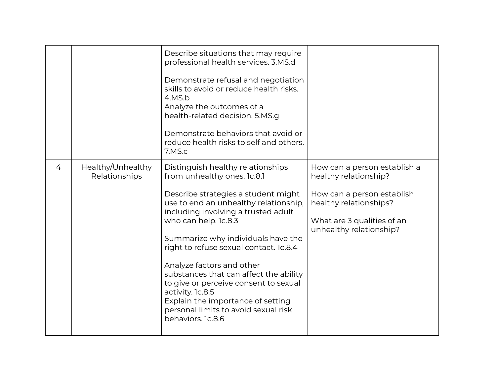|   |                                    | Describe situations that may require<br>professional health services. 3.MS.d<br>Demonstrate refusal and negotiation<br>skills to avoid or reduce health risks.<br>4.MS.b<br>Analyze the outcomes of a<br>health-related decision. 5.MS.g<br>Demonstrate behaviors that avoid or<br>reduce health risks to self and others.<br>7.MS.c                                                                                                                                                                                                  |                                                                                                                                                                        |
|---|------------------------------------|---------------------------------------------------------------------------------------------------------------------------------------------------------------------------------------------------------------------------------------------------------------------------------------------------------------------------------------------------------------------------------------------------------------------------------------------------------------------------------------------------------------------------------------|------------------------------------------------------------------------------------------------------------------------------------------------------------------------|
| 4 | Healthy/Unhealthy<br>Relationships | Distinguish healthy relationships<br>from unhealthy ones. 1c.8.1<br>Describe strategies a student might<br>use to end an unhealthy relationship,<br>including involving a trusted adult<br>who can help. 1c.8.3<br>Summarize why individuals have the<br>right to refuse sexual contact. Ic.8.4<br>Analyze factors and other<br>substances that can affect the ability<br>to give or perceive consent to sexual<br>activity. 1c.8.5<br>Explain the importance of setting<br>personal limits to avoid sexual risk<br>behaviors. 1c.8.6 | How can a person establish a<br>healthy relationship?<br>How can a person establish<br>healthy relationships?<br>What are 3 qualities of an<br>unhealthy relationship? |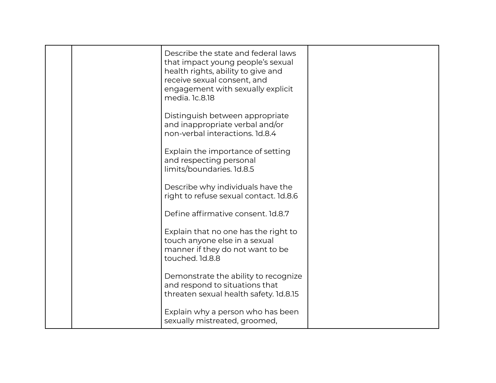| Describe the state and federal laws<br>that impact young people's sexual<br>health rights, ability to give and<br>receive sexual consent, and<br>engagement with sexually explicit<br>media. 1c.8.18 |  |
|------------------------------------------------------------------------------------------------------------------------------------------------------------------------------------------------------|--|
| Distinguish between appropriate<br>and inappropriate verbal and/or<br>non-verbal interactions. 1d.8.4                                                                                                |  |
| Explain the importance of setting<br>and respecting personal<br>limits/boundaries. 1d.8.5                                                                                                            |  |
| Describe why individuals have the<br>right to refuse sexual contact. 1d.8.6                                                                                                                          |  |
| Define affirmative consent. 1d.8.7                                                                                                                                                                   |  |
| Explain that no one has the right to<br>touch anyone else in a sexual<br>manner if they do not want to be<br>touched. 1d.8.8                                                                         |  |
| Demonstrate the ability to recognize<br>and respond to situations that<br>threaten sexual health safety. 1d.8.15                                                                                     |  |
| Explain why a person who has been<br>sexually mistreated, groomed,                                                                                                                                   |  |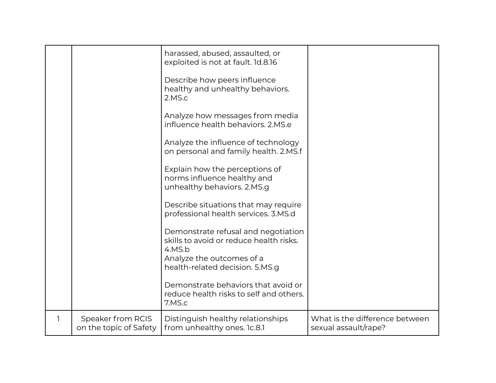|   |                                             | harassed, abused, assaulted, or<br>exploited is not at fault. 1d.8.16                                                 |                                                        |
|---|---------------------------------------------|-----------------------------------------------------------------------------------------------------------------------|--------------------------------------------------------|
|   |                                             | Describe how peers influence<br>healthy and unhealthy behaviors.<br>2.MS.c                                            |                                                        |
|   |                                             | Analyze how messages from media<br>influence health behaviors, 2.MS.e                                                 |                                                        |
|   |                                             | Analyze the influence of technology<br>on personal and family health. 2.MS.f                                          |                                                        |
|   |                                             | Explain how the perceptions of<br>norms influence healthy and<br>unhealthy behaviors. 2.MS.g                          |                                                        |
|   |                                             | Describe situations that may require<br>professional health services. 3.MS.d                                          |                                                        |
|   |                                             | Demonstrate refusal and negotiation<br>skills to avoid or reduce health risks.<br>4.MS.b<br>Analyze the outcomes of a |                                                        |
|   |                                             | health-related decision. 5.MS.g<br>Demonstrate behaviors that avoid or                                                |                                                        |
|   |                                             | reduce health risks to self and others.<br>7.MS.c                                                                     |                                                        |
| 1 | Speaker from RCIS<br>on the topic of Safety | Distinguish healthy relationships<br>from unhealthy ones. 1c.8.1                                                      | What is the difference between<br>sexual assault/rape? |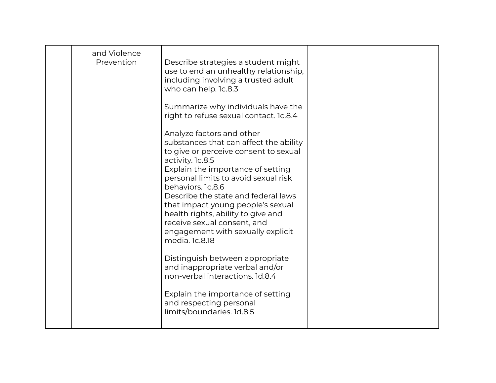| and Violence<br>Prevention | Describe strategies a student might<br>use to end an unhealthy relationship,<br>including involving a trusted adult<br>who can help. 1c.8.3<br>Summarize why individuals have the<br>right to refuse sexual contact. 1c.8.4<br>Analyze factors and other<br>substances that can affect the ability<br>to give or perceive consent to sexual<br>activity. 1c.8.5<br>Explain the importance of setting<br>personal limits to avoid sexual risk<br>behaviors. 1c.8.6<br>Describe the state and federal laws<br>that impact young people's sexual<br>health rights, ability to give and<br>receive sexual consent, and<br>engagement with sexually explicit<br>media. 1c.8.18<br>Distinguish between appropriate<br>and inappropriate verbal and/or<br>non-verbal interactions. 1d.8.4<br>Explain the importance of setting<br>and respecting personal<br>limits/boundaries. 1d.8.5 |  |
|----------------------------|---------------------------------------------------------------------------------------------------------------------------------------------------------------------------------------------------------------------------------------------------------------------------------------------------------------------------------------------------------------------------------------------------------------------------------------------------------------------------------------------------------------------------------------------------------------------------------------------------------------------------------------------------------------------------------------------------------------------------------------------------------------------------------------------------------------------------------------------------------------------------------|--|
|                            |                                                                                                                                                                                                                                                                                                                                                                                                                                                                                                                                                                                                                                                                                                                                                                                                                                                                                 |  |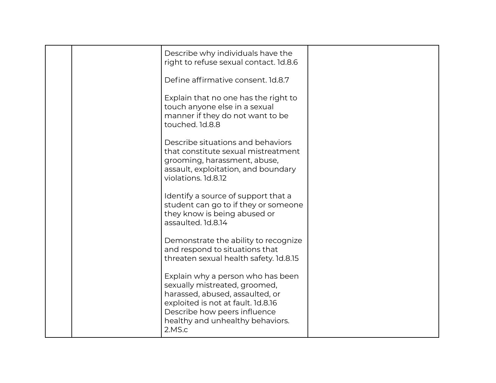|  | Describe why individuals have the<br>right to refuse sexual contact. 1d.8.6                                                                                                                                               |  |
|--|---------------------------------------------------------------------------------------------------------------------------------------------------------------------------------------------------------------------------|--|
|  | Define affirmative consent. 1d.8.7                                                                                                                                                                                        |  |
|  | Explain that no one has the right to<br>touch anyone else in a sexual<br>manner if they do not want to be<br>touched. 1d.8.8                                                                                              |  |
|  | Describe situations and behaviors<br>that constitute sexual mistreatment<br>grooming, harassment, abuse,<br>assault, exploitation, and boundary<br>violations. 1d.8.12                                                    |  |
|  | Identify a source of support that a<br>student can go to if they or someone<br>they know is being abused or<br>assaulted. 1d.8.14                                                                                         |  |
|  | Demonstrate the ability to recognize<br>and respond to situations that<br>threaten sexual health safety. 1d.8.15                                                                                                          |  |
|  | Explain why a person who has been<br>sexually mistreated, groomed,<br>harassed, abused, assaulted, or<br>exploited is not at fault. 1d.8.16<br>Describe how peers influence<br>healthy and unhealthy behaviors.<br>2.MS.c |  |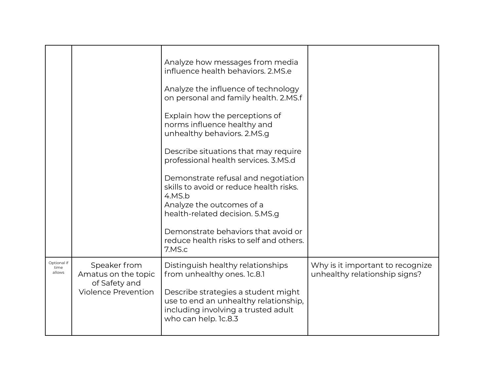|                               |                                                                                    | Analyze how messages from media<br>influence health behaviors, 2.MS.e<br>Analyze the influence of technology<br>on personal and family health. 2.MS.f<br>Explain how the perceptions of<br>norms influence healthy and<br>unhealthy behaviors. 2.MS.g<br>Describe situations that may require<br>professional health services. 3.MS.d<br>Demonstrate refusal and negotiation<br>skills to avoid or reduce health risks.<br>4.MS.b<br>Analyze the outcomes of a<br>health-related decision. 5.MS.g |                                                                   |
|-------------------------------|------------------------------------------------------------------------------------|---------------------------------------------------------------------------------------------------------------------------------------------------------------------------------------------------------------------------------------------------------------------------------------------------------------------------------------------------------------------------------------------------------------------------------------------------------------------------------------------------|-------------------------------------------------------------------|
|                               |                                                                                    | Demonstrate behaviors that avoid or<br>reduce health risks to self and others.<br>7.MS.c                                                                                                                                                                                                                                                                                                                                                                                                          |                                                                   |
| Optional if<br>time<br>allows | Speaker from<br>Amatus on the topic<br>of Safety and<br><b>Violence Prevention</b> | Distinguish healthy relationships<br>from unhealthy ones. 1c.8.1<br>Describe strategies a student might<br>use to end an unhealthy relationship,<br>including involving a trusted adult<br>who can help. 1c.8.3                                                                                                                                                                                                                                                                                   | Why is it important to recognize<br>unhealthy relationship signs? |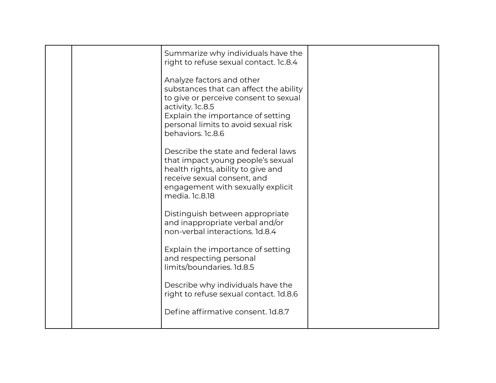| Summarize why individuals have the<br>right to refuse sexual contact. Ic.8.4<br>Analyze factors and other<br>substances that can affect the ability<br>to give or perceive consent to sexual<br>activity. 1c.8.5<br>Explain the importance of setting<br>personal limits to avoid sexual risk<br>behaviors. 1c.8.6<br>Describe the state and federal laws<br>that impact young people's sexual<br>health rights, ability to give and<br>receive sexual consent, and<br>engagement with sexually explicit |  |
|----------------------------------------------------------------------------------------------------------------------------------------------------------------------------------------------------------------------------------------------------------------------------------------------------------------------------------------------------------------------------------------------------------------------------------------------------------------------------------------------------------|--|
| media. 1c.8.18<br>Distinguish between appropriate<br>and inappropriate verbal and/or<br>non-verbal interactions. 1d.8.4<br>Explain the importance of setting<br>and respecting personal<br>limits/boundaries. 1d.8.5<br>Describe why individuals have the<br>right to refuse sexual contact. 1d.8.6<br>Define affirmative consent. 1d.8.7                                                                                                                                                                |  |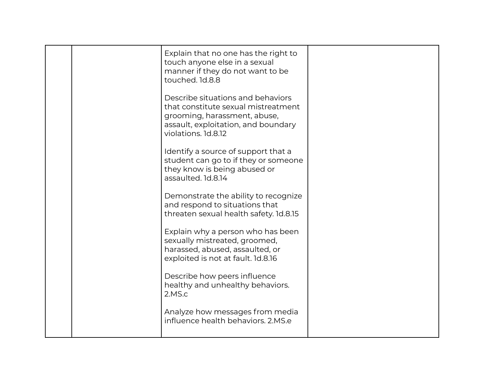|  | Explain that no one has the right to<br>touch anyone else in a sexual<br>manner if they do not want to be<br>touched. 1d.8.8                                           |  |
|--|------------------------------------------------------------------------------------------------------------------------------------------------------------------------|--|
|  | Describe situations and behaviors<br>that constitute sexual mistreatment<br>grooming, harassment, abuse,<br>assault, exploitation, and boundary<br>violations. 1d.8.12 |  |
|  | Identify a source of support that a<br>student can go to if they or someone<br>they know is being abused or<br>assaulted. 1d.8.14                                      |  |
|  | Demonstrate the ability to recognize<br>and respond to situations that<br>threaten sexual health safety. 1d.8.15                                                       |  |
|  | Explain why a person who has been<br>sexually mistreated, groomed,<br>harassed, abused, assaulted, or<br>exploited is not at fault. 1d.8.16                            |  |
|  | Describe how peers influence<br>healthy and unhealthy behaviors.<br>2.MS.c                                                                                             |  |
|  | Analyze how messages from media<br>influence health behaviors, 2.MS.e                                                                                                  |  |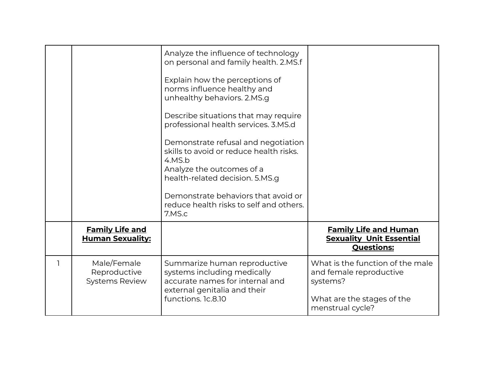|                                                      | Analyze the influence of technology<br>on personal and family health. 2.MS.f<br>Explain how the perceptions of<br>norms influence healthy and<br>unhealthy behaviors. 2.MS.g<br>Describe situations that may require<br>professional health services. 3.MS.d<br>Demonstrate refusal and negotiation<br>skills to avoid or reduce health risks.<br>4.MS.b<br>Analyze the outcomes of a<br>health-related decision. 5.MS.g<br>Demonstrate behaviors that avoid or<br>reduce health risks to self and others.<br>7.MS.c |                                                                                                                           |
|------------------------------------------------------|----------------------------------------------------------------------------------------------------------------------------------------------------------------------------------------------------------------------------------------------------------------------------------------------------------------------------------------------------------------------------------------------------------------------------------------------------------------------------------------------------------------------|---------------------------------------------------------------------------------------------------------------------------|
| <b>Family Life and</b><br><b>Human Sexuality:</b>    |                                                                                                                                                                                                                                                                                                                                                                                                                                                                                                                      | <b>Family Life and Human</b><br><b>Sexuality Unit Essential</b><br><b>Questions:</b>                                      |
| Male/Female<br>Reproductive<br><b>Systems Review</b> | Summarize human reproductive<br>systems including medically<br>accurate names for internal and<br>external genitalia and their<br>functions. 1c.8.10                                                                                                                                                                                                                                                                                                                                                                 | What is the function of the male<br>and female reproductive<br>systems?<br>What are the stages of the<br>menstrual cycle? |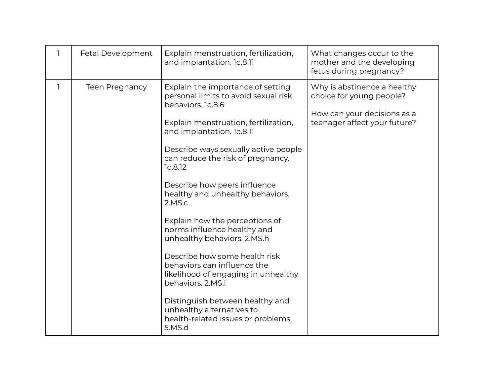| Explain menstruation, fertilization,<br>Fetal Development<br>ı<br>and implantation. 1c.8.11                                                                                                                                                                                                                                                                                                                                                                                                                                                                                                                                                                                                                                    | What changes occur to the<br>mother and the developing<br>fetus during pregnancy?                                      |
|--------------------------------------------------------------------------------------------------------------------------------------------------------------------------------------------------------------------------------------------------------------------------------------------------------------------------------------------------------------------------------------------------------------------------------------------------------------------------------------------------------------------------------------------------------------------------------------------------------------------------------------------------------------------------------------------------------------------------------|------------------------------------------------------------------------------------------------------------------------|
| $\mathbf{1}$<br>Explain the importance of setting<br><b>Teen Pregnancy</b><br>personal limits to avoid sexual risk<br>behaviors. 1c.8.6<br>Explain menstruation, fertilization,<br>and implantation. 1c.8.11<br>Describe ways sexually active people<br>can reduce the risk of pregnancy.<br>1c.8.12<br>Describe how peers influence<br>healthy and unhealthy behaviors.<br>2.MS.c<br>Explain how the perceptions of<br>norms influence healthy and<br>unhealthy behaviors. 2.MS.h<br>Describe how some health risk<br>behaviors can influence the<br>likelihood of engaging in unhealthy<br>behaviors, 2.MS.i<br>Distinguish between healthy and<br>unhealthy alternatives to<br>health-related issues or problems.<br>5.MS.d | Why is abstinence a healthy<br>choice for young people?<br>How can your decisions as a<br>teenager affect your future? |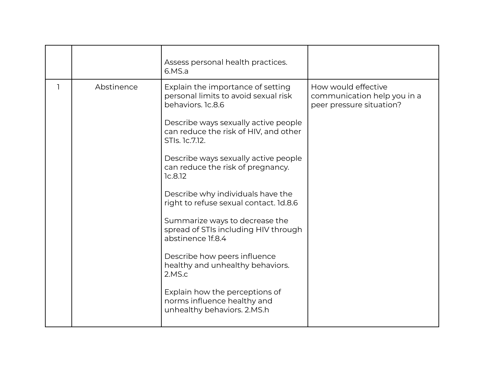|            | Assess personal health practices.<br>6.MS.a                                                                                                                                                                                                                                                                                                                                                                                                                                                                                                                                                                                                           |                                                                                |
|------------|-------------------------------------------------------------------------------------------------------------------------------------------------------------------------------------------------------------------------------------------------------------------------------------------------------------------------------------------------------------------------------------------------------------------------------------------------------------------------------------------------------------------------------------------------------------------------------------------------------------------------------------------------------|--------------------------------------------------------------------------------|
| Abstinence | Explain the importance of setting<br>personal limits to avoid sexual risk<br>behaviors. 1c.8.6<br>Describe ways sexually active people<br>can reduce the risk of HIV, and other<br>STIs. 1c.7.12.<br>Describe ways sexually active people<br>can reduce the risk of pregnancy.<br>1c.8.12<br>Describe why individuals have the<br>right to refuse sexual contact. 1d.8.6<br>Summarize ways to decrease the<br>spread of STIs including HIV through<br>abstinence If.8.4<br>Describe how peers influence<br>healthy and unhealthy behaviors.<br>2.MS.c<br>Explain how the perceptions of<br>norms influence healthy and<br>unhealthy behaviors. 2.MS.h | How would effective<br>communication help you in a<br>peer pressure situation? |
|            |                                                                                                                                                                                                                                                                                                                                                                                                                                                                                                                                                                                                                                                       |                                                                                |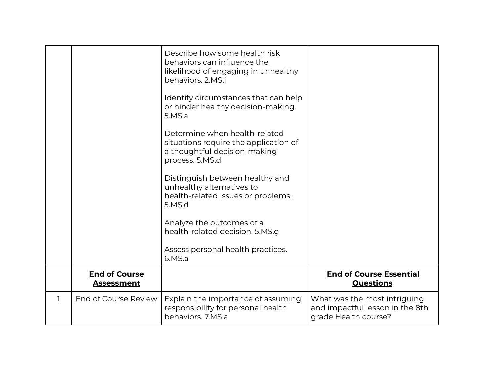|                                           | Describe how some health risk<br>behaviors can influence the<br>likelihood of engaging in unhealthy<br>behaviors. 2.MS.i<br>Identify circumstances that can help<br>or hinder healthy decision-making.<br>5.MS.a<br>Determine when health-related<br>situations require the application of<br>a thoughtful decision-making<br>process. 5.MS.d<br>Distinguish between healthy and<br>unhealthy alternatives to<br>health-related issues or problems.<br>5.MS.d<br>Analyze the outcomes of a<br>health-related decision. 5.MS.g<br>Assess personal health practices. |                                                                                         |
|-------------------------------------------|--------------------------------------------------------------------------------------------------------------------------------------------------------------------------------------------------------------------------------------------------------------------------------------------------------------------------------------------------------------------------------------------------------------------------------------------------------------------------------------------------------------------------------------------------------------------|-----------------------------------------------------------------------------------------|
|                                           | 6.MS.a                                                                                                                                                                                                                                                                                                                                                                                                                                                                                                                                                             |                                                                                         |
| <b>End of Course</b><br><b>Assessment</b> |                                                                                                                                                                                                                                                                                                                                                                                                                                                                                                                                                                    | <b>End of Course Essential</b><br><b>Questions:</b>                                     |
| End of Course Review                      | Explain the importance of assuming<br>responsibility for personal health<br>behaviors. 7.MS.a                                                                                                                                                                                                                                                                                                                                                                                                                                                                      | What was the most intriguing<br>and impactful lesson in the 8th<br>grade Health course? |